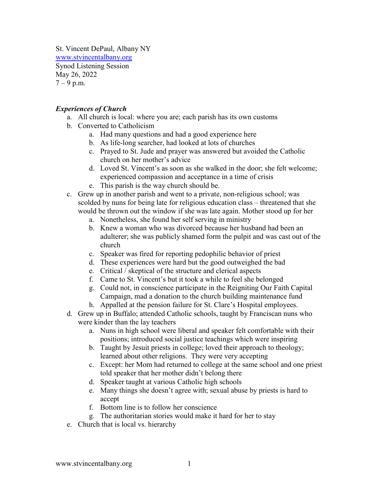St. Vincent DePaul, Albany NY [www.stvincentalbany.org](http://www.stvincentalbany.org/) Synod Listening Session May 26, 2022  $7 - 9$  p.m.

## *Experiences of Church*

- a. All church is local: where you are; each parish has its own customs
- b. Converted to Catholicism
	- a. Had many questions and had a good experience here
	- b. As life-long searcher, had looked at lots of churches
	- c. Prayed to St. Jude and prayer was answered but avoided the Catholic church on her mother's advice
	- d. Loved St. Vincent's as soon as she walked in the door; she felt welcome; experienced compassion and acceptance in a time of crisis
	- e. This parish is the way church should be.
- c. Grew up in another parish and went to a private, non-religious school; was scolded by nuns for being late for religious education class – threatened that she would be thrown out the window if she was late again. Mother stood up for her
	- a. Nonetheless, she found her self serving in ministry
	- b. Knew a woman who was divorced because her husband had been an adulterer; she was publicly shamed form the pulpit and was cast out of the church
	- c. Speaker was fired for reporting pedophilic behavior of priest
	- d. These experiences were hard but the good outweighed the bad
	- e. Critical / skeptical of the structure and clerical aspects
	- f. Came to St. Vincent's but it took a while to feel she belonged
	- g. Could not, in conscience participate in the Reigniting Our Faith Capital Campaign, mad a donation to the church building maintenance fund
	- h. Appalled at the pension failure for St. Clare's Hospital employees.
- d. Grew up in Buffalo; attended Catholic schools, taught by Franciscan nuns who were kinder than the lay teachers
	- a. Nuns in high school were liberal and speaker felt comfortable with their positions; introduced social justice teachings which were inspiring
	- b. Taught by Jesuit priests in college; loved their approach to theology; learned about other religions. They were very accepting
	- c. Except: her Mom had returned to college at the same school and one priest told speaker that her mother didn't belong there
	- d. Speaker taught at various Catholic high schools
	- e. Many things she doesn't agree with; sexual abuse by priests is hard to accept
	- f. Bottom line is to follow her conscience
	- g. The authoritarian stories would make it hard for her to stay
- e. Church that is local vs. hierarchy